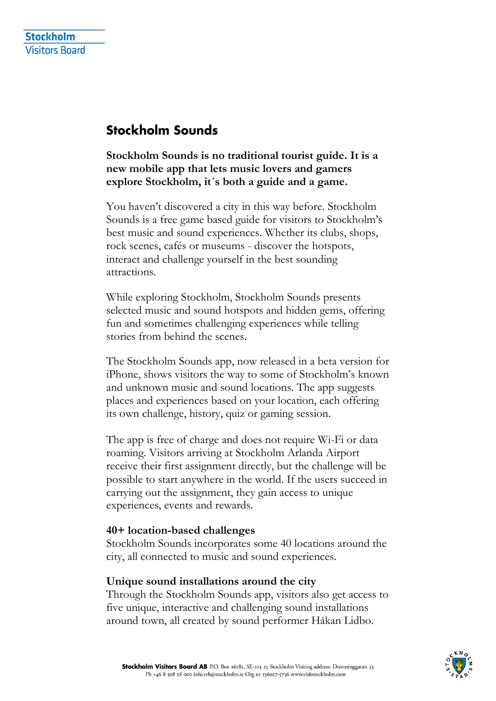## **Stockholm Sounds**

**Stockholm Sounds is no traditional tourist guide. It is a new mobile app that lets music lovers and gamers explore Stockholm, it´s both a guide and a game.**

You haven't discovered a city in this way before. Stockholm Sounds is a free game based guide for visitors to Stockholm's best music and sound experiences. Whether its clubs, shops, rock scenes, cafés or museums - discover the hotspots, interact and challenge yourself in the best sounding attractions.

While exploring Stockholm, Stockholm Sounds presents selected music and sound hotspots and hidden gems, offering fun and sometimes challenging experiences while telling stories from behind the scenes.

The Stockholm Sounds app, now released in a beta version for iPhone, shows visitors the way to some of Stockholm's known and unknown music and sound locations. The app suggests places and experiences based on your location, each offering its own challenge, history, quiz or gaming session.

The app is free of charge and does not require Wi-Fi or data roaming. Visitors arriving at Stockholm Arlanda Airport receive their first assignment directly, but the challenge will be possible to start anywhere in the world. If the users succeed in carrying out the assignment, they gain access to unique experiences, events and rewards.

## **40+ location-based challenges**

Stockholm Sounds incorporates some 40 locations around the city, all connected to music and sound experiences.

## **Unique sound installations around the city**

Through the Stockholm Sounds app, visitors also get access to five unique, interactive and challenging sound installations around town, all created by sound performer Håkan Lidbo.